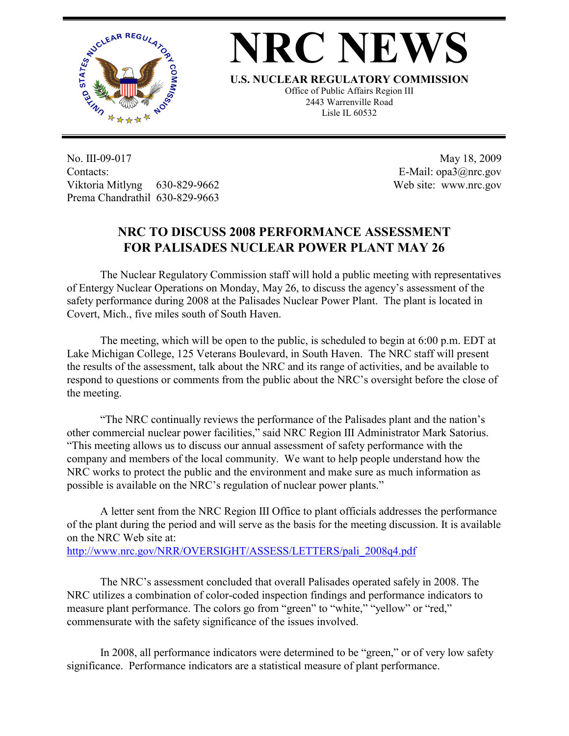

## **NRC NEWS**

**U.S. NUCLEAR REGULATORY COMMISSION**

Office of Public Affairs Region III 2443 Warrenville Road Lisle IL 60532

No. III-09-017 Contacts: Viktoria Mitlyng 630-829-9662 Prema Chandrathil 630-829-9663

 May 18, 2009 E-Mail: opa3@nrc.gov Web site: www.nrc.gov

## **NRC TO DISCUSS 2008 PERFORMANCE ASSESSMENT FOR PALISADES NUCLEAR POWER PLANT MAY 26**

 The Nuclear Regulatory Commission staff will hold a public meeting with representatives of Entergy Nuclear Operations on Monday, May 26, to discuss the agency's assessment of the safety performance during 2008 at the Palisades Nuclear Power Plant. The plant is located in Covert, Mich., five miles south of South Haven.

 The meeting, which will be open to the public, is scheduled to begin at 6:00 p.m. EDT at Lake Michigan College, 125 Veterans Boulevard, in South Haven. The NRC staff will present the results of the assessment, talk about the NRC and its range of activities, and be available to respond to questions or comments from the public about the NRC's oversight before the close of the meeting.

 "The NRC continually reviews the performance of the Palisades plant and the nation's other commercial nuclear power facilities," said NRC Region III Administrator Mark Satorius. "This meeting allows us to discuss our annual assessment of safety performance with the company and members of the local community. We want to help people understand how the NRC works to protect the public and the environment and make sure as much information as possible is available on the NRC's regulation of nuclear power plants."

 A letter sent from the NRC Region III Office to plant officials addresses the performance of the plant during the period and will serve as the basis for the meeting discussion. It is available on the NRC Web site at:

http://www.nrc.gov/NRR/OVERSIGHT/ASSESS/LETTERS/pali\_2008q4.pdf

The NRC's assessment concluded that overall Palisades operated safely in 2008. The NRC utilizes a combination of color-coded inspection findings and performance indicators to measure plant performance. The colors go from "green" to "white," "yellow" or "red," commensurate with the safety significance of the issues involved.

 In 2008, all performance indicators were determined to be "green," or of very low safety significance. Performance indicators are a statistical measure of plant performance.